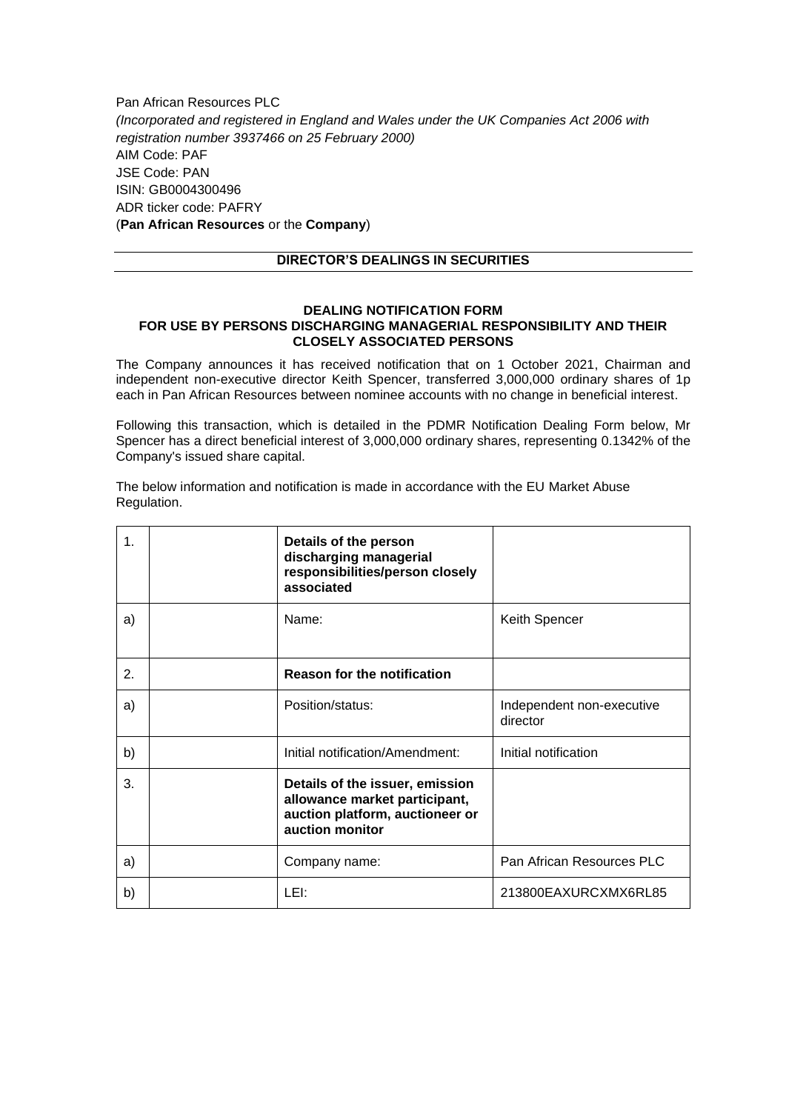Pan African Resources PLC *(Incorporated and registered in England and Wales under the UK Companies Act 2006 with registration number 3937466 on 25 February 2000)* AIM Code: PAF JSE Code: PAN ISIN: GB0004300496 ADR ticker code: PAFRY (**Pan African Resources** or the **Company**)

## **DIRECTOR'S DEALINGS IN SECURITIES**

## **DEALING NOTIFICATION FORM FOR USE BY PERSONS DISCHARGING MANAGERIAL RESPONSIBILITY AND THEIR CLOSELY ASSOCIATED PERSONS**

The Company announces it has received notification that on 1 October 2021, Chairman and independent non-executive director Keith Spencer, transferred 3,000,000 ordinary shares of 1p each in Pan African Resources between nominee accounts with no change in beneficial interest.

Following this transaction, which is detailed in the PDMR Notification Dealing Form below, Mr Spencer has a direct beneficial interest of 3,000,000 ordinary shares, representing 0.1342% of the Company's issued share capital.

The below information and notification is made in accordance with the EU Market Abuse Regulation.

| $\mathbf{1}$ . | Details of the person<br>discharging managerial<br>responsibilities/person closely<br>associated                       |                                       |
|----------------|------------------------------------------------------------------------------------------------------------------------|---------------------------------------|
| a)             | Name:                                                                                                                  | Keith Spencer                         |
| 2.             | <b>Reason for the notification</b>                                                                                     |                                       |
| a)             | Position/status:                                                                                                       | Independent non-executive<br>director |
| b)             | Initial notification/Amendment:                                                                                        | Initial notification                  |
| 3.             | Details of the issuer, emission<br>allowance market participant,<br>auction platform, auctioneer or<br>auction monitor |                                       |
| a)             | Company name:                                                                                                          | Pan African Resources PLC             |
| b)             | LEI:                                                                                                                   | 213800EAXURCXMX6RL85                  |